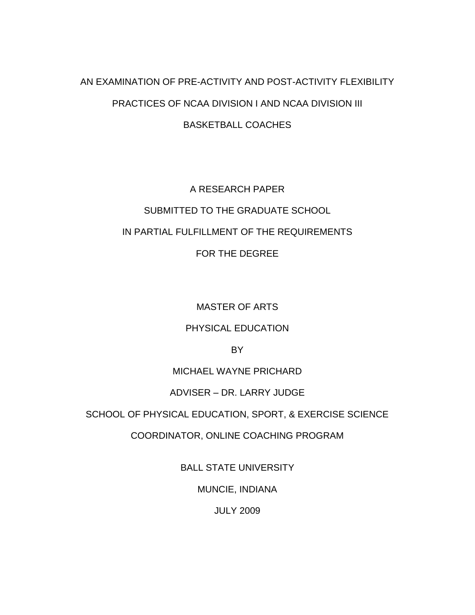# AN EXAMINATION OF PRE-ACTIVITY AND POST-ACTIVITY FLEXIBILITY PRACTICES OF NCAA DIVISION I AND NCAA DIVISION III BASKETBALL COACHES

# A RESEARCH PAPER SUBMITTED TO THE GRADUATE SCHOOL IN PARTIAL FULFILLMENT OF THE REQUIREMENTS FOR THE DEGREE

MASTER OF ARTS

# PHYSICAL EDUCATION

BY

# MICHAEL WAYNE PRICHARD

## ADVISER – DR. LARRY JUDGE

## SCHOOL OF PHYSICAL EDUCATION, SPORT, & EXERCISE SCIENCE

# COORDINATOR, ONLINE COACHING PROGRAM

# BALL STATE UNIVERSITY

# MUNCIE, INDIANA

## JULY 2009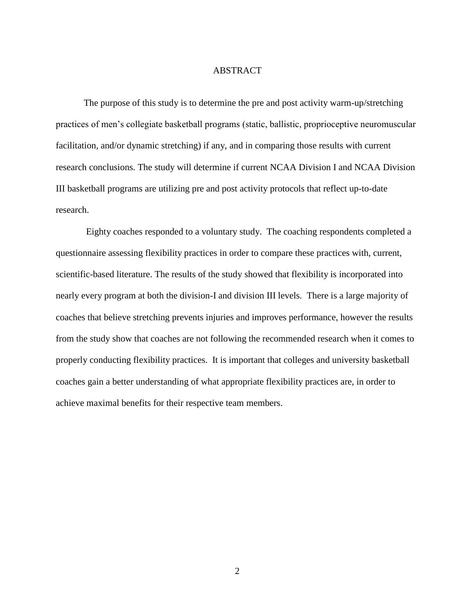## ABSTRACT

The purpose of this study is to determine the pre and post activity warm-up/stretching practices of men"s collegiate basketball programs (static, ballistic, proprioceptive neuromuscular facilitation, and/or dynamic stretching) if any, and in comparing those results with current research conclusions. The study will determine if current NCAA Division I and NCAA Division III basketball programs are utilizing pre and post activity protocols that reflect up-to-date research.

Eighty coaches responded to a voluntary study. The coaching respondents completed a questionnaire assessing flexibility practices in order to compare these practices with, current, scientific-based literature. The results of the study showed that flexibility is incorporated into nearly every program at both the division-I and division III levels. There is a large majority of coaches that believe stretching prevents injuries and improves performance, however the results from the study show that coaches are not following the recommended research when it comes to properly conducting flexibility practices. It is important that colleges and university basketball coaches gain a better understanding of what appropriate flexibility practices are, in order to achieve maximal benefits for their respective team members.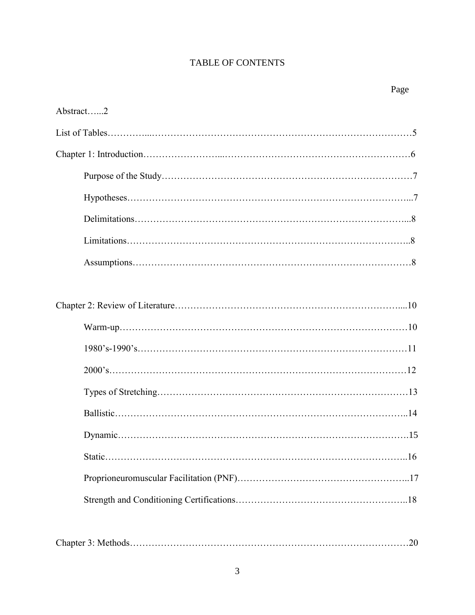# TABLE OF CONTENTS

Page

| Abstract2 |
|-----------|
|           |
|           |
|           |
|           |
|           |
|           |
|           |
|           |
|           |
|           |
|           |
|           |
|           |
|           |
|           |
|           |
|           |
|           |
|           |

|--|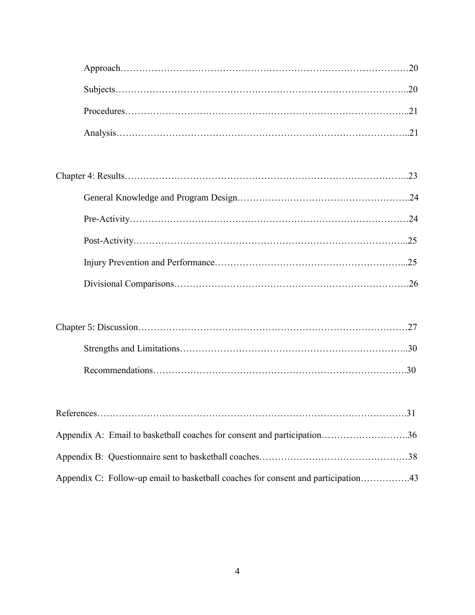| Appendix A: Email to basketball coaches for consent and participation36           |
|-----------------------------------------------------------------------------------|
|                                                                                   |
| Appendix C: Follow-up email to basketball coaches for consent and participation43 |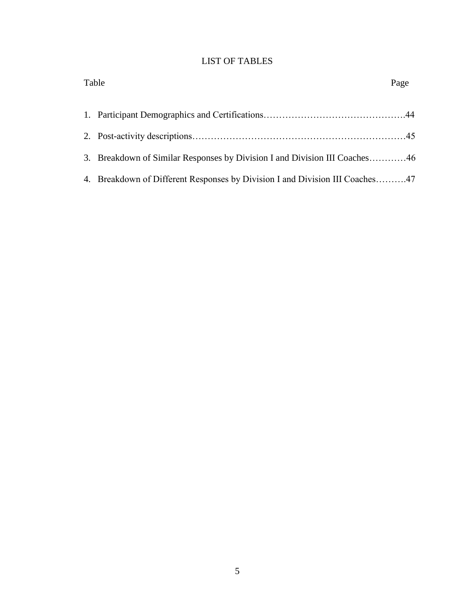# LIST OF TABLES

| Table                                                                        | Page |
|------------------------------------------------------------------------------|------|
|                                                                              |      |
|                                                                              |      |
| 3. Breakdown of Similar Responses by Division I and Division III Coaches46   |      |
| 4. Breakdown of Different Responses by Division I and Division III Coaches47 |      |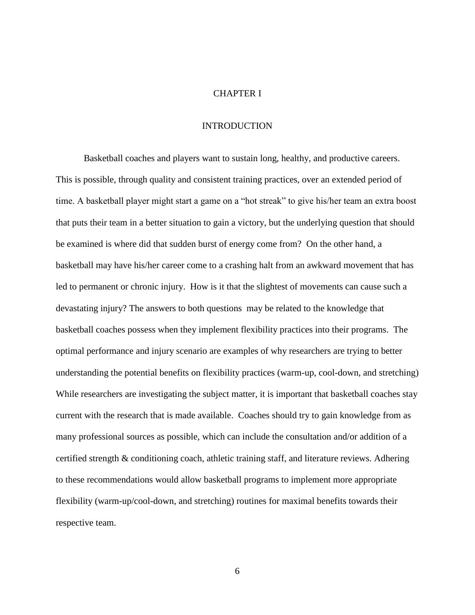#### CHAPTER I

#### **INTRODUCTION**

Basketball coaches and players want to sustain long, healthy, and productive careers. This is possible, through quality and consistent training practices, over an extended period of time. A basketball player might start a game on a "hot streak" to give his/her team an extra boost that puts their team in a better situation to gain a victory, but the underlying question that should be examined is where did that sudden burst of energy come from? On the other hand, a basketball may have his/her career come to a crashing halt from an awkward movement that has led to permanent or chronic injury. How is it that the slightest of movements can cause such a devastating injury? The answers to both questions may be related to the knowledge that basketball coaches possess when they implement flexibility practices into their programs. The optimal performance and injury scenario are examples of why researchers are trying to better understanding the potential benefits on flexibility practices (warm-up, cool-down, and stretching) While researchers are investigating the subject matter, it is important that basketball coaches stay current with the research that is made available. Coaches should try to gain knowledge from as many professional sources as possible, which can include the consultation and/or addition of a certified strength & conditioning coach, athletic training staff, and literature reviews. Adhering to these recommendations would allow basketball programs to implement more appropriate flexibility (warm-up/cool-down, and stretching) routines for maximal benefits towards their respective team.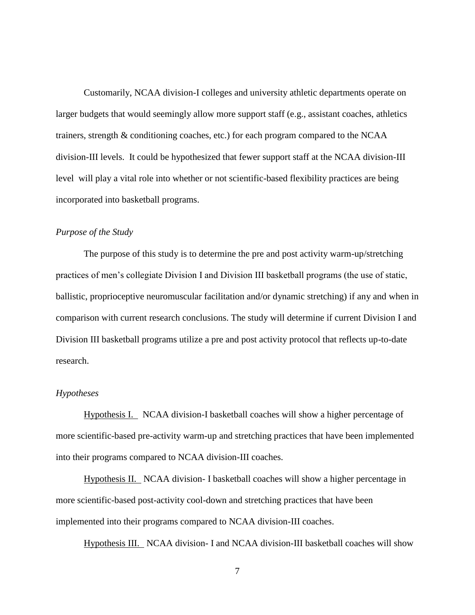Customarily, NCAA division-I colleges and university athletic departments operate on larger budgets that would seemingly allow more support staff (e.g., assistant coaches, athletics trainers, strength & conditioning coaches, etc.) for each program compared to the NCAA division-III levels. It could be hypothesized that fewer support staff at the NCAA division-III level will play a vital role into whether or not scientific-based flexibility practices are being incorporated into basketball programs.

## *Purpose of the Study*

The purpose of this study is to determine the pre and post activity warm-up/stretching practices of men"s collegiate Division I and Division III basketball programs (the use of static, ballistic, proprioceptive neuromuscular facilitation and/or dynamic stretching) if any and when in comparison with current research conclusions. The study will determine if current Division I and Division III basketball programs utilize a pre and post activity protocol that reflects up-to-date research.

### *Hypotheses*

Hypothesis I. NCAA division-I basketball coaches will show a higher percentage of more scientific-based pre-activity warm-up and stretching practices that have been implemented into their programs compared to NCAA division-III coaches.

Hypothesis II. NCAA division- I basketball coaches will show a higher percentage in more scientific-based post-activity cool-down and stretching practices that have been implemented into their programs compared to NCAA division-III coaches.

Hypothesis III. NCAA division- I and NCAA division-III basketball coaches will show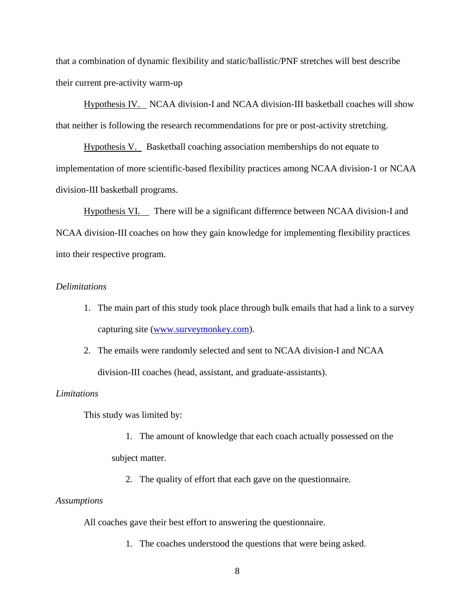that a combination of dynamic flexibility and static/ballistic/PNF stretches will best describe their current pre-activity warm-up

Hypothesis IV. NCAA division-I and NCAA division-III basketball coaches will show that neither is following the research recommendations for pre or post-activity stretching.

Hypothesis V. Basketball coaching association memberships do not equate to implementation of more scientific-based flexibility practices among NCAA division-1 or NCAA division-III basketball programs.

Hypothesis VI. There will be a significant difference between NCAA division-I and NCAA division-III coaches on how they gain knowledge for implementing flexibility practices into their respective program.

## *Delimitations*

- 1. The main part of this study took place through bulk emails that had a link to a survey capturing site [\(www.surveymonkey.com\)](http://www.surveymonkey.com/).
- 2. The emails were randomly selected and sent to NCAA division-I and NCAA division-III coaches (head, assistant, and graduate-assistants).

## *Limitations*

This study was limited by:

- 1. The amount of knowledge that each coach actually possessed on the subject matter.
	- 2. The quality of effort that each gave on the questionnaire.

## *Assumptions*

All coaches gave their best effort to answering the questionnaire.

1. The coaches understood the questions that were being asked.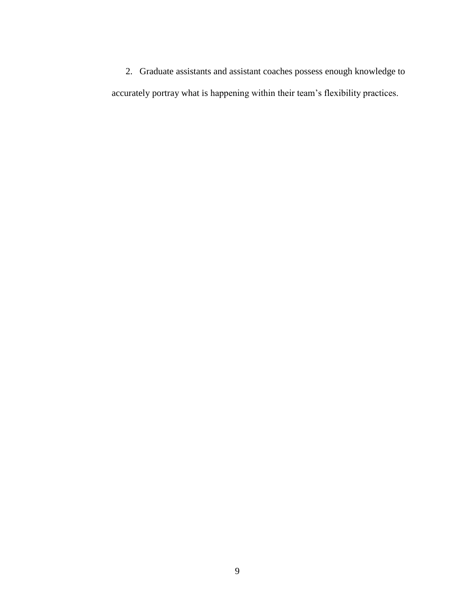2. Graduate assistants and assistant coaches possess enough knowledge to accurately portray what is happening within their team"s flexibility practices.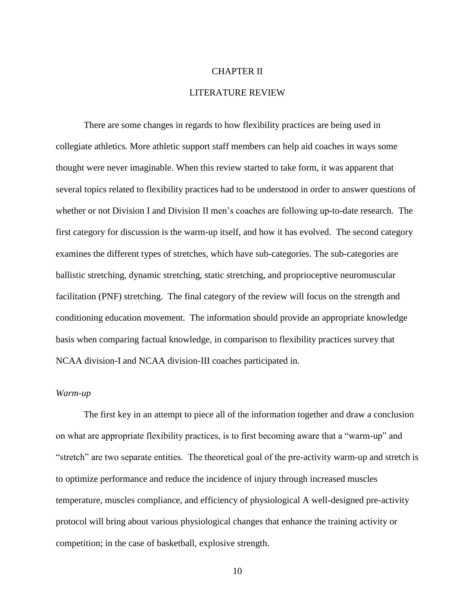### CHAPTER II

#### LITERATURE REVIEW

There are some changes in regards to how flexibility practices are being used in collegiate athletics. More athletic support staff members can help aid coaches in ways some thought were never imaginable. When this review started to take form, it was apparent that several topics related to flexibility practices had to be understood in order to answer questions of whether or not Division I and Division II men's coaches are following up-to-date research. The first category for discussion is the warm-up itself, and how it has evolved. The second category examines the different types of stretches, which have sub-categories. The sub-categories are ballistic stretching, dynamic stretching, static stretching, and proprioceptive neuromuscular facilitation (PNF) stretching. The final category of the review will focus on the strength and conditioning education movement. The information should provide an appropriate knowledge basis when comparing factual knowledge, in comparison to flexibility practices survey that NCAA division-I and NCAA division-III coaches participated in.

#### *Warm-up*

The first key in an attempt to piece all of the information together and draw a conclusion on what are appropriate flexibility practices, is to first becoming aware that a "warm-up" and "stretch" are two separate entities. The theoretical goal of the pre-activity warm-up and stretch is to optimize performance and reduce the incidence of injury through increased muscles temperature, muscles compliance, and efficiency of physiological A well-designed pre-activity protocol will bring about various physiological changes that enhance the training activity or competition; in the case of basketball, explosive strength.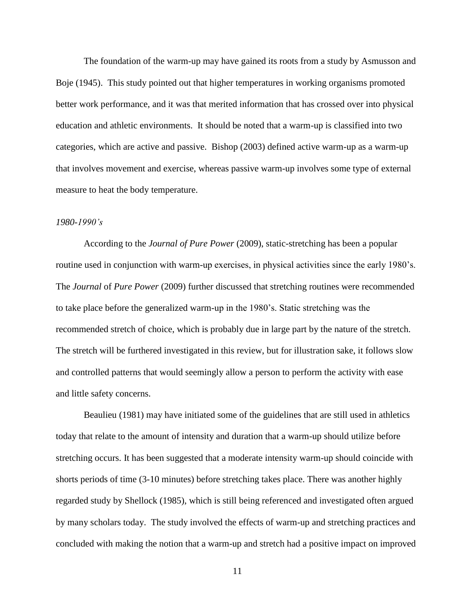The foundation of the warm-up may have gained its roots from a study by Asmusson and Boje (1945). This study pointed out that higher temperatures in working organisms promoted better work performance, and it was that merited information that has crossed over into physical education and athletic environments. It should be noted that a warm-up is classified into two categories, which are active and passive. Bishop (2003) defined active warm-up as a warm-up that involves movement and exercise, whereas passive warm-up involves some type of external measure to heat the body temperature.

#### *1980-1990's*

According to the *Journal of Pure Power* (2009), static-stretching has been a popular routine used in conjunction with warm-up exercises, in physical activities since the early 1980's. The *Journal* of *Pure Power* (2009) further discussed that stretching routines were recommended to take place before the generalized warm-up in the 1980"s. Static stretching was the recommended stretch of choice, which is probably due in large part by the nature of the stretch. The stretch will be furthered investigated in this review, but for illustration sake, it follows slow and controlled patterns that would seemingly allow a person to perform the activity with ease and little safety concerns.

Beaulieu (1981) may have initiated some of the guidelines that are still used in athletics today that relate to the amount of intensity and duration that a warm-up should utilize before stretching occurs. It has been suggested that a moderate intensity warm-up should coincide with shorts periods of time (3-10 minutes) before stretching takes place. There was another highly regarded study by Shellock (1985), which is still being referenced and investigated often argued by many scholars today. The study involved the effects of warm-up and stretching practices and concluded with making the notion that a warm-up and stretch had a positive impact on improved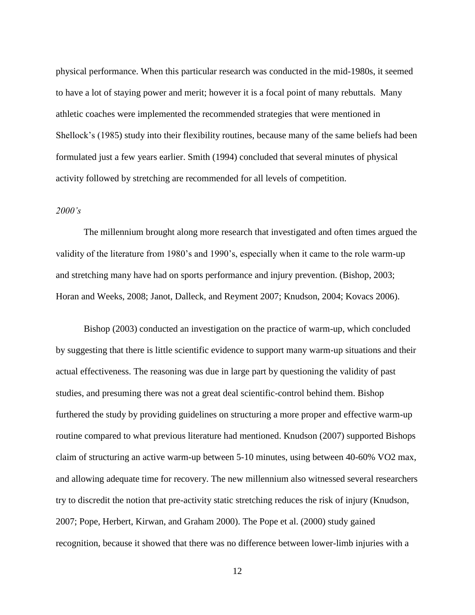physical performance. When this particular research was conducted in the mid-1980s, it seemed to have a lot of staying power and merit; however it is a focal point of many rebuttals. Many athletic coaches were implemented the recommended strategies that were mentioned in Shellock"s (1985) study into their flexibility routines, because many of the same beliefs had been formulated just a few years earlier. Smith (1994) concluded that several minutes of physical activity followed by stretching are recommended for all levels of competition.

## *2000's*

The millennium brought along more research that investigated and often times argued the validity of the literature from 1980"s and 1990"s, especially when it came to the role warm-up and stretching many have had on sports performance and injury prevention. (Bishop, 2003; Horan and Weeks, 2008; Janot, Dalleck, and Reyment 2007; Knudson, 2004; Kovacs 2006).

Bishop (2003) conducted an investigation on the practice of warm-up, which concluded by suggesting that there is little scientific evidence to support many warm-up situations and their actual effectiveness. The reasoning was due in large part by questioning the validity of past studies, and presuming there was not a great deal scientific-control behind them. Bishop furthered the study by providing guidelines on structuring a more proper and effective warm-up routine compared to what previous literature had mentioned. Knudson (2007) supported Bishops claim of structuring an active warm-up between 5-10 minutes, using between 40-60% VO2 max, and allowing adequate time for recovery. The new millennium also witnessed several researchers try to discredit the notion that pre-activity static stretching reduces the risk of injury (Knudson, 2007; Pope, Herbert, Kirwan, and Graham 2000). The Pope et al. (2000) study gained recognition, because it showed that there was no difference between lower-limb injuries with a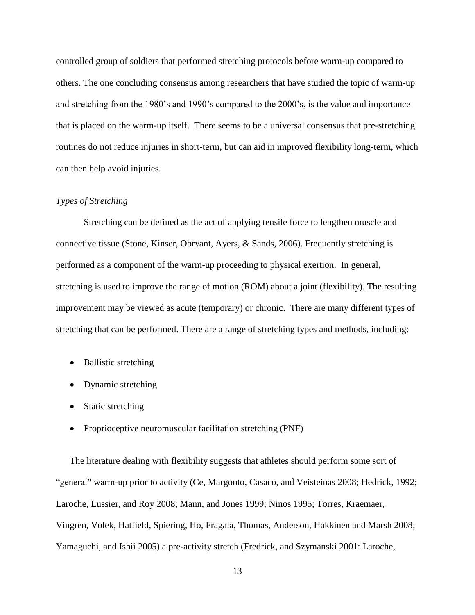controlled group of soldiers that performed stretching protocols before warm-up compared to others. The one concluding consensus among researchers that have studied the topic of warm-up and stretching from the 1980's and 1990's compared to the 2000's, is the value and importance that is placed on the warm-up itself. There seems to be a universal consensus that pre-stretching routines do not reduce injuries in short-term, but can aid in improved flexibility long-term, which can then help avoid injuries.

## *Types of Stretching*

Stretching can be defined as the act of applying tensile force to lengthen muscle and connective tissue (Stone, Kinser, Obryant, Ayers, & Sands, 2006). Frequently stretching is performed as a component of the warm-up proceeding to physical exertion. In general, stretching is used to improve the range of motion (ROM) about a joint (flexibility). The resulting improvement may be viewed as acute (temporary) or chronic. There are many different types of stretching that can be performed. There are a range of stretching types and methods, including:

- Ballistic stretching
- Dynamic stretching
- Static stretching
- Proprioceptive neuromuscular facilitation stretching (PNF)

The literature dealing with flexibility suggests that athletes should perform some sort of "general" warm-up prior to activity (Ce, Margonto, Casaco, and Veisteinas 2008; Hedrick, 1992; Laroche, Lussier, and Roy 2008; Mann, and Jones 1999; Ninos 1995; Torres, Kraemaer, Vingren, Volek, Hatfield, Spiering, Ho, Fragala, Thomas, Anderson, Hakkinen and Marsh 2008; Yamaguchi, and Ishii 2005) a pre-activity stretch (Fredrick, and Szymanski 2001: Laroche,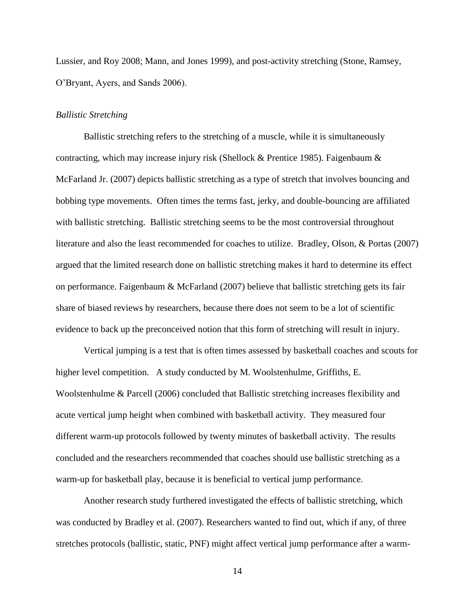Lussier, and Roy 2008; Mann, and Jones 1999), and post-activity stretching (Stone, Ramsey, O"Bryant, Ayers, and Sands 2006).

#### *Ballistic Stretching*

Ballistic stretching refers to the stretching of a muscle, while it is simultaneously contracting, which may increase injury risk (Shellock & Prentice 1985). Faigenbaum & McFarland Jr. (2007) depicts ballistic stretching as a type of stretch that involves bouncing and bobbing type movements. Often times the terms fast, jerky, and double-bouncing are affiliated with ballistic stretching. Ballistic stretching seems to be the most controversial throughout literature and also the least recommended for coaches to utilize. Bradley, Olson, & Portas (2007) argued that the limited research done on ballistic stretching makes it hard to determine its effect on performance. Faigenbaum & McFarland (2007) believe that ballistic stretching gets its fair share of biased reviews by researchers, because there does not seem to be a lot of scientific evidence to back up the preconceived notion that this form of stretching will result in injury.

Vertical jumping is a test that is often times assessed by basketball coaches and scouts for higher level competition. A study conducted by M. Woolstenhulme, Griffiths, E. Woolstenhulme & Parcell (2006) concluded that Ballistic stretching increases flexibility and acute vertical jump height when combined with basketball activity. They measured four different warm-up protocols followed by twenty minutes of basketball activity. The results concluded and the researchers recommended that coaches should use ballistic stretching as a warm-up for basketball play, because it is beneficial to vertical jump performance.

Another research study furthered investigated the effects of ballistic stretching, which was conducted by Bradley et al. (2007). Researchers wanted to find out, which if any, of three stretches protocols (ballistic, static, PNF) might affect vertical jump performance after a warm-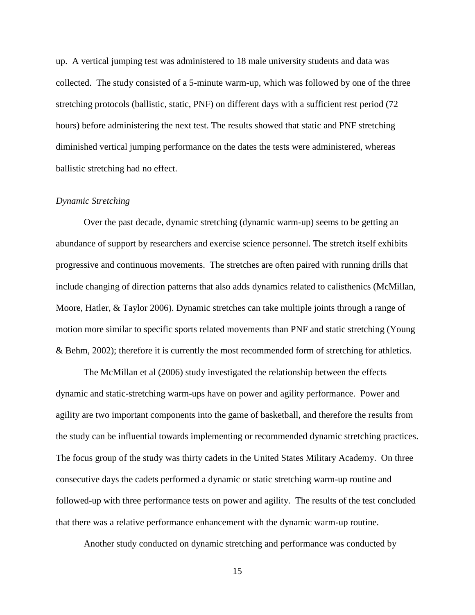up. A vertical jumping test was administered to 18 male university students and data was collected. The study consisted of a 5-minute warm-up, which was followed by one of the three stretching protocols (ballistic, static, PNF) on different days with a sufficient rest period (72 hours) before administering the next test. The results showed that static and PNF stretching diminished vertical jumping performance on the dates the tests were administered, whereas ballistic stretching had no effect.

#### *Dynamic Stretching*

Over the past decade, dynamic stretching (dynamic warm-up) seems to be getting an abundance of support by researchers and exercise science personnel. The stretch itself exhibits progressive and continuous movements. The stretches are often paired with running drills that include changing of direction patterns that also adds dynamics related to calisthenics (McMillan, Moore, Hatler, & Taylor 2006). Dynamic stretches can take multiple joints through a range of motion more similar to specific sports related movements than PNF and static stretching (Young & Behm, 2002); therefore it is currently the most recommended form of stretching for athletics.

The McMillan et al (2006) study investigated the relationship between the effects dynamic and static-stretching warm-ups have on power and agility performance. Power and agility are two important components into the game of basketball, and therefore the results from the study can be influential towards implementing or recommended dynamic stretching practices. The focus group of the study was thirty cadets in the United States Military Academy. On three consecutive days the cadets performed a dynamic or static stretching warm-up routine and followed-up with three performance tests on power and agility. The results of the test concluded that there was a relative performance enhancement with the dynamic warm-up routine.

Another study conducted on dynamic stretching and performance was conducted by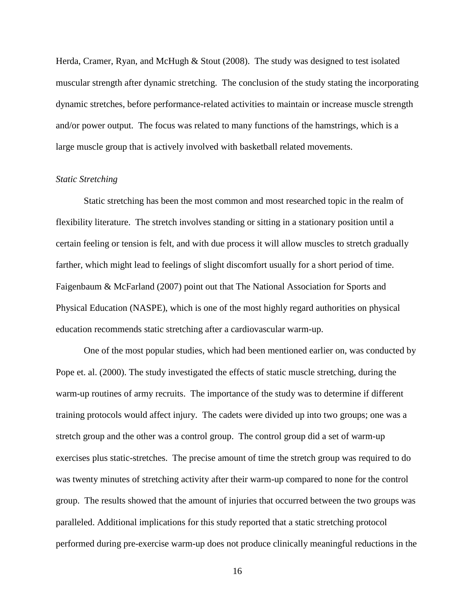Herda, Cramer, Ryan, and McHugh & Stout (2008). The study was designed to test isolated muscular strength after dynamic stretching. The conclusion of the study stating the incorporating dynamic stretches, before performance-related activities to maintain or increase muscle strength and/or power output. The focus was related to many functions of the hamstrings, which is a large muscle group that is actively involved with basketball related movements.

#### *Static Stretching*

Static stretching has been the most common and most researched topic in the realm of flexibility literature. The stretch involves standing or sitting in a stationary position until a certain feeling or tension is felt, and with due process it will allow muscles to stretch gradually farther, which might lead to feelings of slight discomfort usually for a short period of time. Faigenbaum & McFarland (2007) point out that The National Association for Sports and Physical Education (NASPE), which is one of the most highly regard authorities on physical education recommends static stretching after a cardiovascular warm-up.

One of the most popular studies, which had been mentioned earlier on, was conducted by Pope et. al. (2000). The study investigated the effects of static muscle stretching, during the warm-up routines of army recruits. The importance of the study was to determine if different training protocols would affect injury. The cadets were divided up into two groups; one was a stretch group and the other was a control group. The control group did a set of warm-up exercises plus static-stretches. The precise amount of time the stretch group was required to do was twenty minutes of stretching activity after their warm-up compared to none for the control group. The results showed that the amount of injuries that occurred between the two groups was paralleled. Additional implications for this study reported that a static stretching protocol performed during pre-exercise warm-up does not produce clinically meaningful reductions in the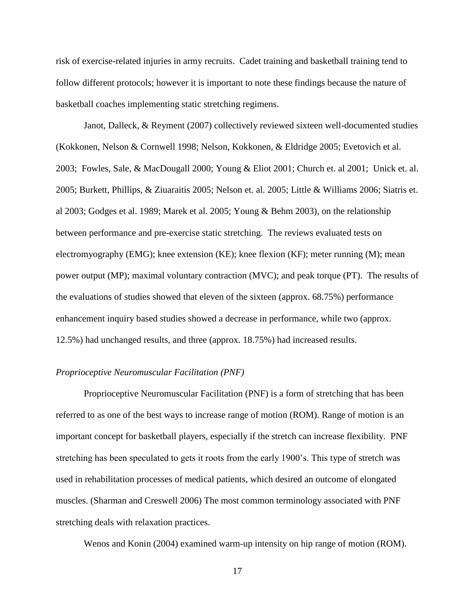risk of exercise-related injuries in army recruits. Cadet training and basketball training tend to follow different protocols; however it is important to note these findings because the nature of basketball coaches implementing static stretching regimens.

Janot, Dalleck, & Reyment (2007) collectively reviewed sixteen well-documented studies (Kokkonen, Nelson & Cornwell 1998; Nelson, Kokkonen, & Eldridge 2005; Evetovich et al. 2003; Fowles, Sale, & MacDougall 2000; Young & Eliot 2001; Church et. al 2001; Unick et. al. 2005; Burkett, Phillips, & Ziuaraitis 2005; Nelson et. al. 2005; Little & Williams 2006; Siatris et. al 2003; Godges et al. 1989; Marek et al. 2005; Young & Behm 2003), on the relationship between performance and pre-exercise static stretching. The reviews evaluated tests on electromyography (EMG); knee extension (KE); knee flexion (KF); meter running (M); mean power output (MP); maximal voluntary contraction (MVC); and peak torque (PT). The results of the evaluations of studies showed that eleven of the sixteen (approx. 68.75%) performance enhancement inquiry based studies showed a decrease in performance, while two (approx. 12.5%) had unchanged results, and three (approx. 18.75%) had increased results.

#### *Proprioceptive Neuromuscular Facilitation (PNF)*

Proprioceptive Neuromuscular Facilitation (PNF) is a form of stretching that has been referred to as one of the best ways to increase range of motion (ROM). Range of motion is an important concept for basketball players, especially if the stretch can increase flexibility. PNF stretching has been speculated to gets it roots from the early 1900"s. This type of stretch was used in rehabilitation processes of medical patients, which desired an outcome of elongated muscles. (Sharman and Creswell 2006) The most common terminology associated with PNF stretching deals with relaxation practices.

Wenos and Konin (2004) examined warm-up intensity on hip range of motion (ROM).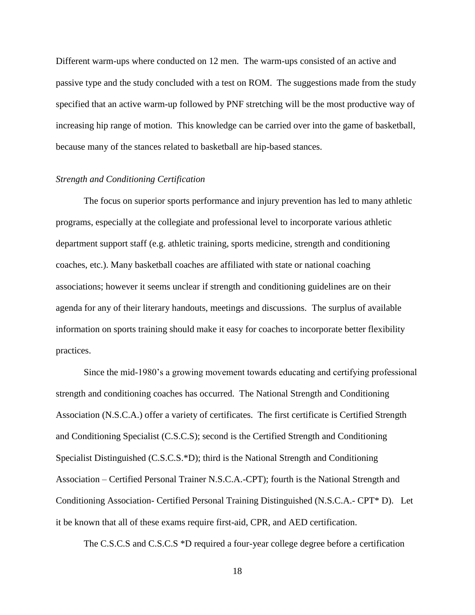Different warm-ups where conducted on 12 men. The warm-ups consisted of an active and passive type and the study concluded with a test on ROM. The suggestions made from the study specified that an active warm-up followed by PNF stretching will be the most productive way of increasing hip range of motion. This knowledge can be carried over into the game of basketball, because many of the stances related to basketball are hip-based stances.

#### *Strength and Conditioning Certification*

The focus on superior sports performance and injury prevention has led to many athletic programs, especially at the collegiate and professional level to incorporate various athletic department support staff (e.g. athletic training, sports medicine, strength and conditioning coaches, etc.). Many basketball coaches are affiliated with state or national coaching associations; however it seems unclear if strength and conditioning guidelines are on their agenda for any of their literary handouts, meetings and discussions. The surplus of available information on sports training should make it easy for coaches to incorporate better flexibility practices.

Since the mid-1980"s a growing movement towards educating and certifying professional strength and conditioning coaches has occurred. The National Strength and Conditioning Association (N.S.C.A.) offer a variety of certificates. The first certificate is Certified Strength and Conditioning Specialist (C.S.C.S); second is the Certified Strength and Conditioning Specialist Distinguished (C.S.C.S.\*D); third is the National Strength and Conditioning Association – Certified Personal Trainer N.S.C.A.-CPT); fourth is the National Strength and Conditioning Association- Certified Personal Training Distinguished (N.S.C.A.- CPT\* D). Let it be known that all of these exams require first-aid, CPR, and AED certification.

The C.S.C.S and C.S.C.S \*D required a four-year college degree before a certification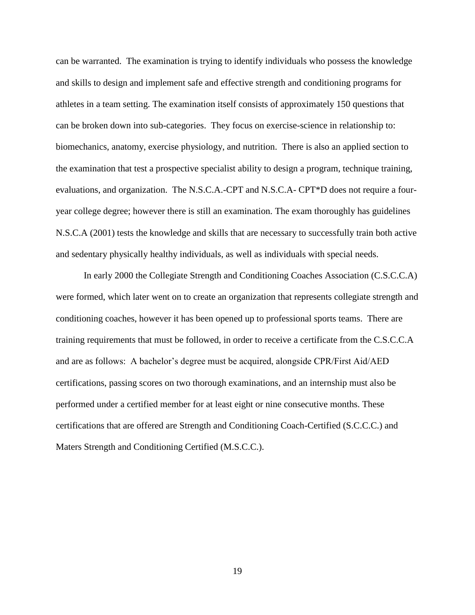can be warranted. The examination is trying to identify individuals who possess the knowledge and skills to design and implement safe and effective strength and conditioning programs for athletes in a team setting. The examination itself consists of approximately 150 questions that can be broken down into sub-categories. They focus on exercise-science in relationship to: biomechanics, anatomy, exercise physiology, and nutrition. There is also an applied section to the examination that test a prospective specialist ability to design a program, technique training, evaluations, and organization. The N.S.C.A.-CPT and N.S.C.A- CPT\*D does not require a fouryear college degree; however there is still an examination. The exam thoroughly has guidelines N.S.C.A (2001) tests the knowledge and skills that are necessary to successfully train both active and sedentary physically healthy individuals, as well as individuals with special needs.

In early 2000 the Collegiate Strength and Conditioning Coaches Association (C.S.C.C.A) were formed, which later went on to create an organization that represents collegiate strength and conditioning coaches, however it has been opened up to professional sports teams. There are training requirements that must be followed, in order to receive a certificate from the C.S.C.C.A and are as follows: A bachelor"s degree must be acquired, alongside CPR/First Aid/AED certifications, passing scores on two thorough examinations, and an internship must also be performed under a certified member for at least eight or nine consecutive months. These certifications that are offered are Strength and Conditioning Coach-Certified (S.C.C.C.) and Maters Strength and Conditioning Certified (M.S.C.C.).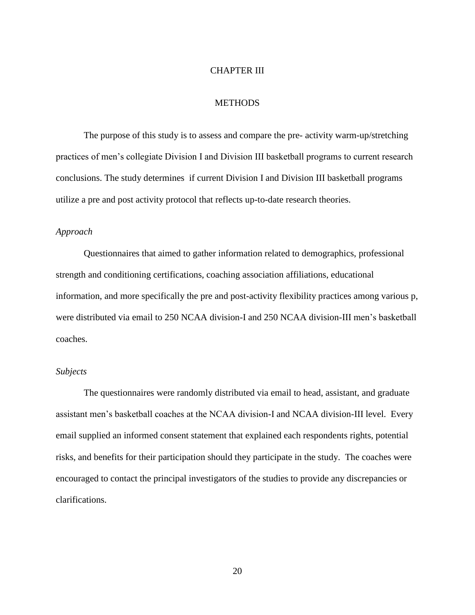#### CHAPTER III

## **METHODS**

The purpose of this study is to assess and compare the pre- activity warm-up/stretching practices of men"s collegiate Division I and Division III basketball programs to current research conclusions. The study determines if current Division I and Division III basketball programs utilize a pre and post activity protocol that reflects up-to-date research theories.

## *Approach*

Questionnaires that aimed to gather information related to demographics, professional strength and conditioning certifications, coaching association affiliations, educational information, and more specifically the pre and post-activity flexibility practices among various p, were distributed via email to 250 NCAA division-I and 250 NCAA division-III men"s basketball coaches.

#### *Subjects*

The questionnaires were randomly distributed via email to head, assistant, and graduate assistant men's basketball coaches at the NCAA division-I and NCAA division-III level. Every email supplied an informed consent statement that explained each respondents rights, potential risks, and benefits for their participation should they participate in the study. The coaches were encouraged to contact the principal investigators of the studies to provide any discrepancies or clarifications.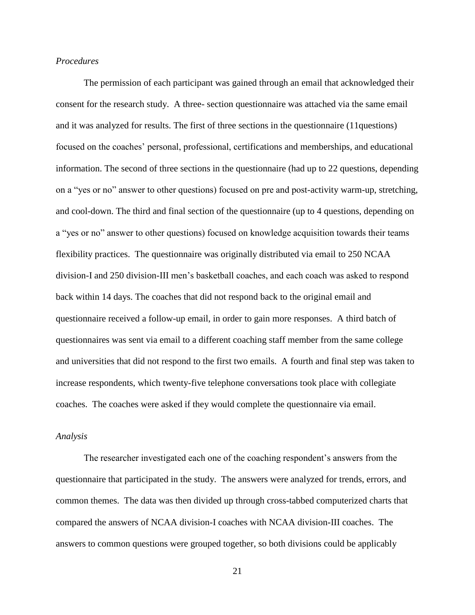#### *Procedures*

The permission of each participant was gained through an email that acknowledged their consent for the research study. A three- section questionnaire was attached via the same email and it was analyzed for results. The first of three sections in the questionnaire (11questions) focused on the coaches" personal, professional, certifications and memberships, and educational information. The second of three sections in the questionnaire (had up to 22 questions, depending on a "yes or no" answer to other questions) focused on pre and post-activity warm-up, stretching, and cool-down. The third and final section of the questionnaire (up to 4 questions, depending on a "yes or no" answer to other questions) focused on knowledge acquisition towards their teams flexibility practices. The questionnaire was originally distributed via email to 250 NCAA division-I and 250 division-III men"s basketball coaches, and each coach was asked to respond back within 14 days. The coaches that did not respond back to the original email and questionnaire received a follow-up email, in order to gain more responses. A third batch of questionnaires was sent via email to a different coaching staff member from the same college and universities that did not respond to the first two emails. A fourth and final step was taken to increase respondents, which twenty-five telephone conversations took place with collegiate coaches. The coaches were asked if they would complete the questionnaire via email.

#### *Analysis*

The researcher investigated each one of the coaching respondent's answers from the questionnaire that participated in the study. The answers were analyzed for trends, errors, and common themes. The data was then divided up through cross-tabbed computerized charts that compared the answers of NCAA division-I coaches with NCAA division-III coaches. The answers to common questions were grouped together, so both divisions could be applicably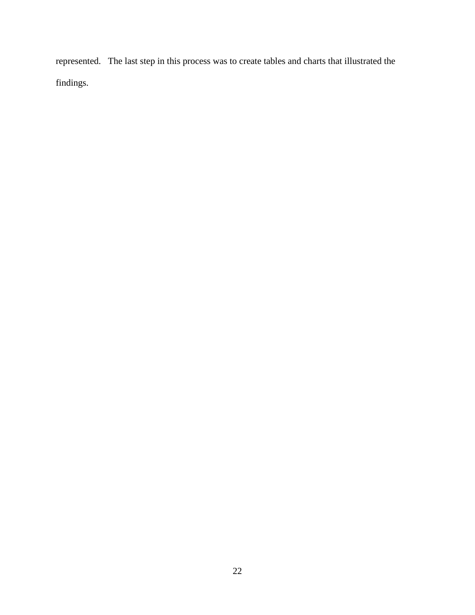represented. The last step in this process was to create tables and charts that illustrated the findings.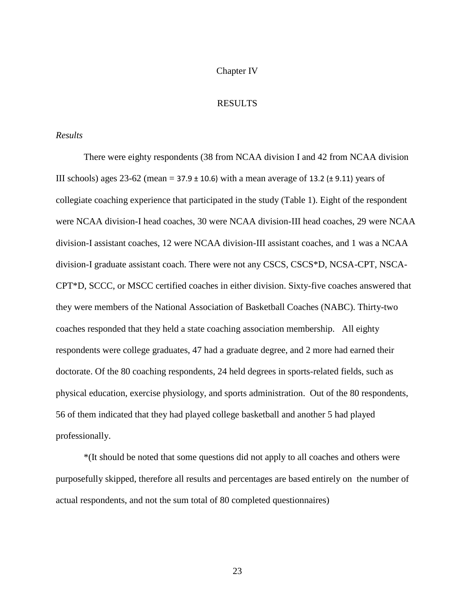#### Chapter IV

## RESULTS

#### *Results*

There were eighty respondents (38 from NCAA division I and 42 from NCAA division III schools) ages 23-62 (mean =  $37.9 \pm 10.6$ ) with a mean average of 13.2 ( $\pm$  9.11) years of collegiate coaching experience that participated in the study (Table 1). Eight of the respondent were NCAA division-I head coaches, 30 were NCAA division-III head coaches, 29 were NCAA division-I assistant coaches, 12 were NCAA division-III assistant coaches, and 1 was a NCAA division-I graduate assistant coach. There were not any CSCS, CSCS\*D, NCSA-CPT, NSCA-CPT\*D, SCCC, or MSCC certified coaches in either division. Sixty-five coaches answered that they were members of the National Association of Basketball Coaches (NABC). Thirty-two coaches responded that they held a state coaching association membership. All eighty respondents were college graduates, 47 had a graduate degree, and 2 more had earned their doctorate. Of the 80 coaching respondents, 24 held degrees in sports-related fields, such as physical education, exercise physiology, and sports administration. Out of the 80 respondents, 56 of them indicated that they had played college basketball and another 5 had played professionally.

\*(It should be noted that some questions did not apply to all coaches and others were purposefully skipped, therefore all results and percentages are based entirely on the number of actual respondents, and not the sum total of 80 completed questionnaires)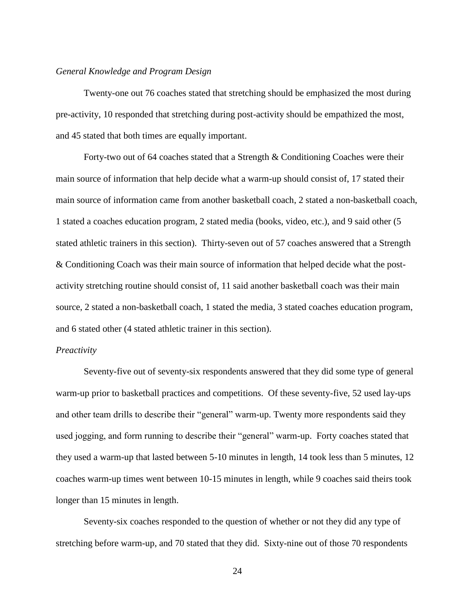#### *General Knowledge and Program Design*

Twenty-one out 76 coaches stated that stretching should be emphasized the most during pre-activity, 10 responded that stretching during post-activity should be empathized the most, and 45 stated that both times are equally important.

Forty-two out of 64 coaches stated that a Strength & Conditioning Coaches were their main source of information that help decide what a warm-up should consist of, 17 stated their main source of information came from another basketball coach, 2 stated a non-basketball coach, 1 stated a coaches education program, 2 stated media (books, video, etc.), and 9 said other (5 stated athletic trainers in this section). Thirty-seven out of 57 coaches answered that a Strength & Conditioning Coach was their main source of information that helped decide what the postactivity stretching routine should consist of, 11 said another basketball coach was their main source, 2 stated a non-basketball coach, 1 stated the media, 3 stated coaches education program, and 6 stated other (4 stated athletic trainer in this section).

#### *Preactivity*

Seventy-five out of seventy-six respondents answered that they did some type of general warm-up prior to basketball practices and competitions. Of these seventy-five, 52 used lay-ups and other team drills to describe their "general" warm-up. Twenty more respondents said they used jogging, and form running to describe their "general" warm-up. Forty coaches stated that they used a warm-up that lasted between 5-10 minutes in length, 14 took less than 5 minutes, 12 coaches warm-up times went between 10-15 minutes in length, while 9 coaches said theirs took longer than 15 minutes in length.

Seventy-six coaches responded to the question of whether or not they did any type of stretching before warm-up, and 70 stated that they did. Sixty-nine out of those 70 respondents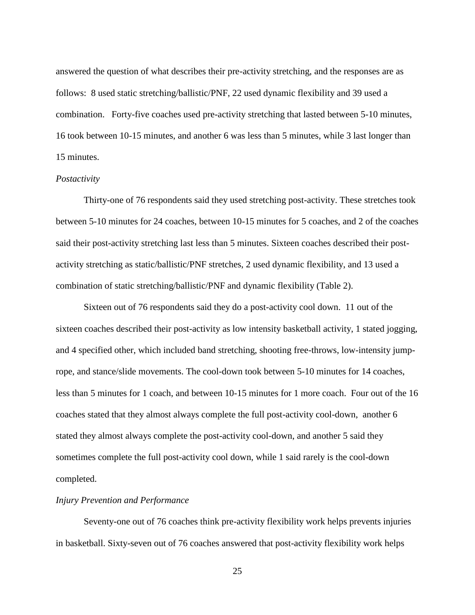answered the question of what describes their pre-activity stretching, and the responses are as follows: 8 used static stretching/ballistic/PNF, 22 used dynamic flexibility and 39 used a combination. Forty-five coaches used pre-activity stretching that lasted between 5-10 minutes, 16 took between 10-15 minutes, and another 6 was less than 5 minutes, while 3 last longer than 15 minutes.

#### *Postactivity*

Thirty-one of 76 respondents said they used stretching post-activity. These stretches took between 5-10 minutes for 24 coaches, between 10-15 minutes for 5 coaches, and 2 of the coaches said their post-activity stretching last less than 5 minutes. Sixteen coaches described their postactivity stretching as static/ballistic/PNF stretches, 2 used dynamic flexibility, and 13 used a combination of static stretching/ballistic/PNF and dynamic flexibility (Table 2).

Sixteen out of 76 respondents said they do a post-activity cool down. 11 out of the sixteen coaches described their post-activity as low intensity basketball activity, 1 stated jogging, and 4 specified other, which included band stretching, shooting free-throws, low-intensity jumprope, and stance/slide movements. The cool-down took between 5-10 minutes for 14 coaches, less than 5 minutes for 1 coach, and between 10-15 minutes for 1 more coach. Four out of the 16 coaches stated that they almost always complete the full post-activity cool-down, another 6 stated they almost always complete the post-activity cool-down, and another 5 said they sometimes complete the full post-activity cool down, while 1 said rarely is the cool-down completed.

### *Injury Prevention and Performance*

Seventy-one out of 76 coaches think pre-activity flexibility work helps prevents injuries in basketball. Sixty-seven out of 76 coaches answered that post-activity flexibility work helps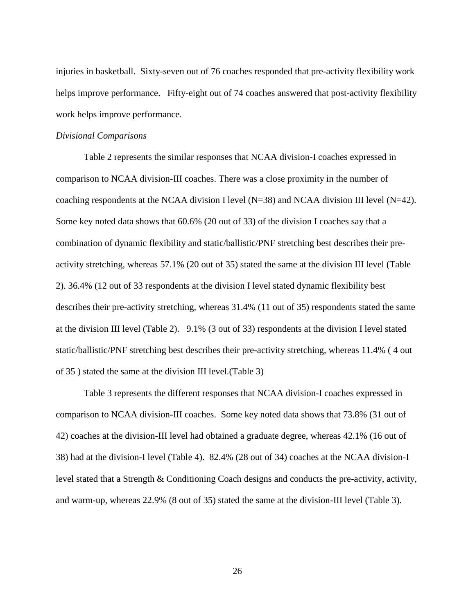injuries in basketball. Sixty-seven out of 76 coaches responded that pre-activity flexibility work helps improve performance. Fifty-eight out of 74 coaches answered that post-activity flexibility work helps improve performance.

#### *Divisional Comparisons*

Table 2 represents the similar responses that NCAA division-I coaches expressed in comparison to NCAA division-III coaches. There was a close proximity in the number of coaching respondents at the NCAA division I level (N=38) and NCAA division III level (N=42). Some key noted data shows that 60.6% (20 out of 33) of the division I coaches say that a combination of dynamic flexibility and static/ballistic/PNF stretching best describes their preactivity stretching, whereas 57.1% (20 out of 35) stated the same at the division III level (Table 2). 36.4% (12 out of 33 respondents at the division I level stated dynamic flexibility best describes their pre-activity stretching, whereas 31.4% (11 out of 35) respondents stated the same at the division III level (Table 2). 9.1% (3 out of 33) respondents at the division I level stated static/ballistic/PNF stretching best describes their pre-activity stretching, whereas 11.4% ( 4 out of 35 ) stated the same at the division III level.(Table 3)

Table 3 represents the different responses that NCAA division-I coaches expressed in comparison to NCAA division-III coaches. Some key noted data shows that 73.8% (31 out of 42) coaches at the division-III level had obtained a graduate degree, whereas 42.1% (16 out of 38) had at the division-I level (Table 4). 82.4% (28 out of 34) coaches at the NCAA division-I level stated that a Strength & Conditioning Coach designs and conducts the pre-activity, activity, and warm-up, whereas 22.9% (8 out of 35) stated the same at the division-III level (Table 3).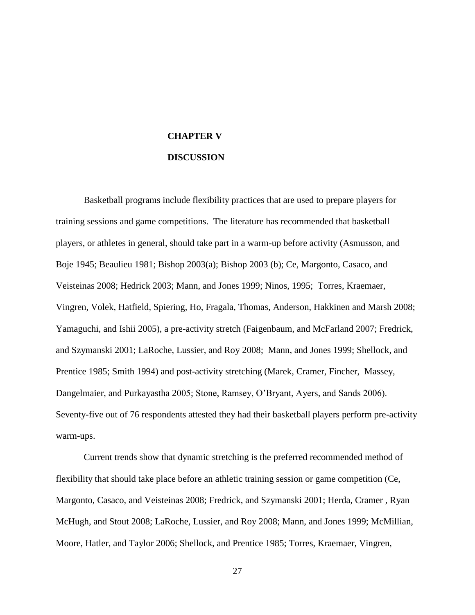## **CHAPTER V**

#### **DISCUSSION**

Basketball programs include flexibility practices that are used to prepare players for training sessions and game competitions. The literature has recommended that basketball players, or athletes in general, should take part in a warm-up before activity (Asmusson, and Boje 1945; Beaulieu 1981; Bishop 2003(a); Bishop 2003 (b); Ce, Margonto, Casaco, and Veisteinas 2008; Hedrick 2003; Mann, and Jones 1999; Ninos, 1995; Torres, Kraemaer, Vingren, Volek, Hatfield, Spiering, Ho, Fragala, Thomas, Anderson, Hakkinen and Marsh 2008; Yamaguchi, and Ishii 2005), a pre-activity stretch (Faigenbaum, and McFarland 2007; Fredrick, and Szymanski 2001; LaRoche, Lussier, and Roy 2008; Mann, and Jones 1999; Shellock, and Prentice 1985; Smith 1994) and post-activity stretching (Marek, Cramer, Fincher, Massey, Dangelmaier, and Purkayastha 2005; Stone, Ramsey, O"Bryant, Ayers, and Sands 2006). Seventy-five out of 76 respondents attested they had their basketball players perform pre-activity warm-ups.

Current trends show that dynamic stretching is the preferred recommended method of flexibility that should take place before an athletic training session or game competition (Ce, Margonto, Casaco, and Veisteinas 2008; Fredrick, and Szymanski 2001; Herda, Cramer , Ryan McHugh, and Stout 2008; LaRoche, Lussier, and Roy 2008; Mann, and Jones 1999; McMillian, Moore, Hatler, and Taylor 2006; Shellock, and Prentice 1985; Torres, Kraemaer, Vingren,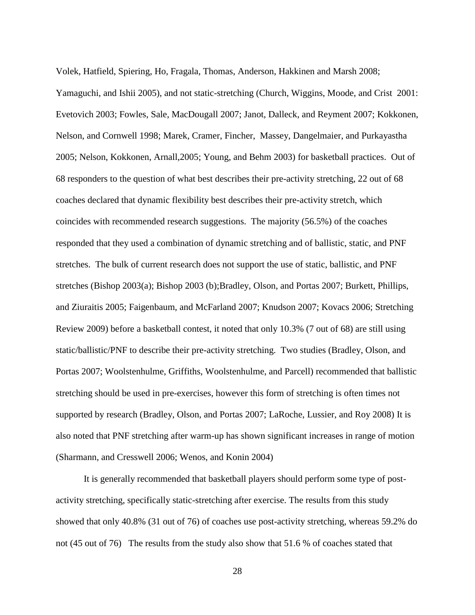Volek, Hatfield, Spiering, Ho, Fragala, Thomas, Anderson, Hakkinen and Marsh 2008; Yamaguchi, and Ishii 2005), and not static-stretching (Church, Wiggins, Moode, and Crist 2001: Evetovich 2003; Fowles, Sale, MacDougall 2007; Janot, Dalleck, and Reyment 2007; Kokkonen, Nelson, and Cornwell 1998; Marek, Cramer, Fincher, Massey, Dangelmaier, and Purkayastha 2005; Nelson, Kokkonen, Arnall,2005; Young, and Behm 2003) for basketball practices. Out of 68 responders to the question of what best describes their pre-activity stretching, 22 out of 68 coaches declared that dynamic flexibility best describes their pre-activity stretch, which coincides with recommended research suggestions. The majority (56.5%) of the coaches responded that they used a combination of dynamic stretching and of ballistic, static, and PNF stretches. The bulk of current research does not support the use of static, ballistic, and PNF stretches (Bishop 2003(a); Bishop 2003 (b);Bradley, Olson, and Portas 2007; Burkett, Phillips, and Ziuraitis 2005; Faigenbaum, and McFarland 2007; Knudson 2007; Kovacs 2006; Stretching Review 2009) before a basketball contest, it noted that only 10.3% (7 out of 68) are still using static/ballistic/PNF to describe their pre-activity stretching. Two studies (Bradley, Olson, and Portas 2007; Woolstenhulme, Griffiths, Woolstenhulme, and Parcell) recommended that ballistic stretching should be used in pre-exercises, however this form of stretching is often times not supported by research (Bradley, Olson, and Portas 2007; LaRoche, Lussier, and Roy 2008) It is also noted that PNF stretching after warm-up has shown significant increases in range of motion (Sharmann, and Cresswell 2006; Wenos, and Konin 2004)

It is generally recommended that basketball players should perform some type of postactivity stretching, specifically static-stretching after exercise. The results from this study showed that only 40.8% (31 out of 76) of coaches use post-activity stretching, whereas 59.2% do not (45 out of 76) The results from the study also show that 51.6 % of coaches stated that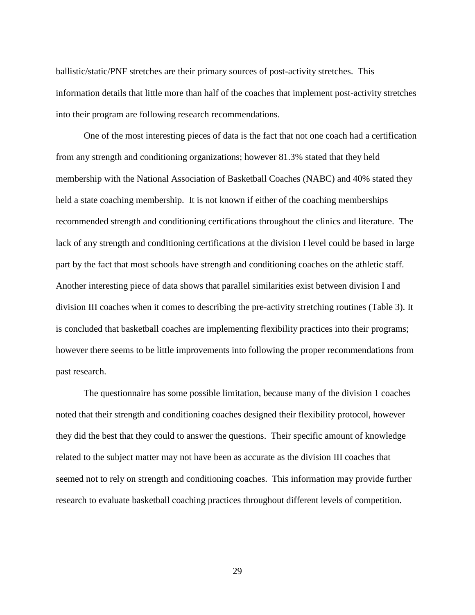ballistic/static/PNF stretches are their primary sources of post-activity stretches. This information details that little more than half of the coaches that implement post-activity stretches into their program are following research recommendations.

One of the most interesting pieces of data is the fact that not one coach had a certification from any strength and conditioning organizations; however 81.3% stated that they held membership with the National Association of Basketball Coaches (NABC) and 40% stated they held a state coaching membership. It is not known if either of the coaching memberships recommended strength and conditioning certifications throughout the clinics and literature. The lack of any strength and conditioning certifications at the division I level could be based in large part by the fact that most schools have strength and conditioning coaches on the athletic staff. Another interesting piece of data shows that parallel similarities exist between division I and division III coaches when it comes to describing the pre-activity stretching routines (Table 3). It is concluded that basketball coaches are implementing flexibility practices into their programs; however there seems to be little improvements into following the proper recommendations from past research.

The questionnaire has some possible limitation, because many of the division 1 coaches noted that their strength and conditioning coaches designed their flexibility protocol, however they did the best that they could to answer the questions. Their specific amount of knowledge related to the subject matter may not have been as accurate as the division III coaches that seemed not to rely on strength and conditioning coaches. This information may provide further research to evaluate basketball coaching practices throughout different levels of competition.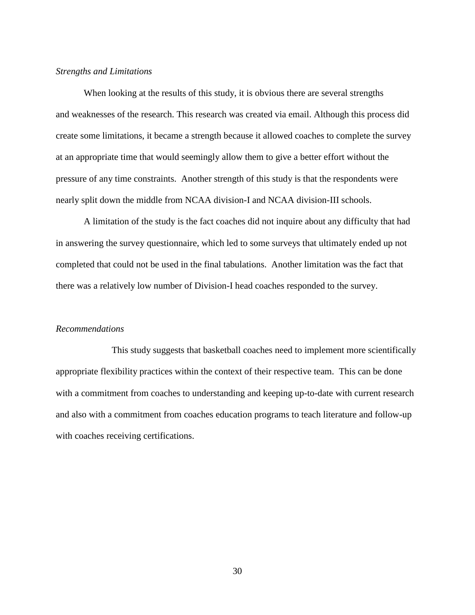#### *Strengths and Limitations*

When looking at the results of this study, it is obvious there are several strengths and weaknesses of the research. This research was created via email. Although this process did create some limitations, it became a strength because it allowed coaches to complete the survey at an appropriate time that would seemingly allow them to give a better effort without the pressure of any time constraints. Another strength of this study is that the respondents were nearly split down the middle from NCAA division-I and NCAA division-III schools.

A limitation of the study is the fact coaches did not inquire about any difficulty that had in answering the survey questionnaire, which led to some surveys that ultimately ended up not completed that could not be used in the final tabulations. Another limitation was the fact that there was a relatively low number of Division-I head coaches responded to the survey.

## *Recommendations*

This study suggests that basketball coaches need to implement more scientifically appropriate flexibility practices within the context of their respective team. This can be done with a commitment from coaches to understanding and keeping up-to-date with current research and also with a commitment from coaches education programs to teach literature and follow-up with coaches receiving certifications.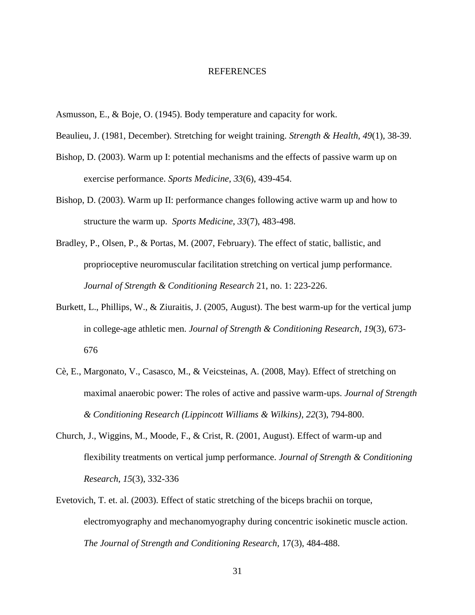#### REFERENCES

- Asmusson, E., & Boje, O. (1945). Body temperature and capacity for work.
- Beaulieu, J. (1981, December). Stretching for weight training. *Strength & Health*, *49*(1), 38-39.
- Bishop, D. (2003). Warm up I: potential mechanisms and the effects of passive warm up on exercise performance. *Sports Medicine*, *33*(6), 439-454.
- Bishop, D. (2003). Warm up II: performance changes following active warm up and how to structure the warm up. *Sports Medicine*, *33*(7), 483-498.
- Bradley, P., Olsen, P., & Portas, M. (2007, February). The effect of static, ballistic, and proprioceptive neuromuscular facilitation stretching on vertical jump performance. *Journal of Strength & Conditioning Research* 21, no. 1: 223-226.
- Burkett, L., Phillips, W., & Ziuraitis, J. (2005, August). The best warm-up for the vertical jump in college-age athletic men. *Journal of Strength & Conditioning Research*, *19*(3), 673- 676
- Cè, E., Margonato, V., Casasco, M., & Veicsteinas, A. (2008, May). Effect of stretching on maximal anaerobic power: The roles of active and passive warm-ups. *Journal of Strength & Conditioning Research (Lippincott Williams & Wilkins)*, *22*(3), 794-800.
- Church, J., Wiggins, M., Moode, F., & Crist, R. (2001, August). Effect of warm-up and flexibility treatments on vertical jump performance. *Journal of Strength & Conditioning Research*, *15*(3), 332-336
- Evetovich, T. et. al. (2003). Effect of static stretching of the biceps brachii on torque, electromyography and mechanomyography during concentric isokinetic muscle action. *The Journal of Strength and Conditioning Research,* 17(3), 484-488.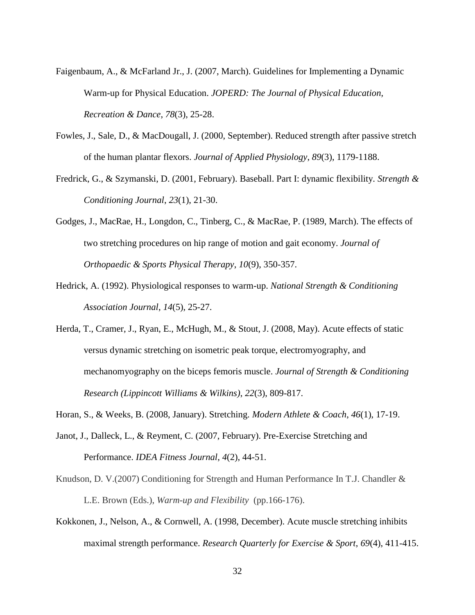- Faigenbaum, A., & McFarland Jr., J. (2007, March). Guidelines for Implementing a Dynamic Warm-up for Physical Education. *JOPERD: The Journal of Physical Education, Recreation & Dance*, *78*(3), 25-28.
- Fowles, J., Sale, D., & MacDougall, J. (2000, September). Reduced strength after passive stretch of the human plantar flexors. *Journal of Applied Physiology*, *89*(3), 1179-1188.
- Fredrick, G., & Szymanski, D. (2001, February). Baseball. Part I: dynamic flexibility. *Strength & Conditioning Journal*, *23*(1), 21-30.
- Godges, J., MacRae, H., Longdon, C., Tinberg, C., & MacRae, P. (1989, March). The effects of two stretching procedures on hip range of motion and gait economy. *Journal of Orthopaedic & Sports Physical Therapy*, *10*(9), 350-357.
- Hedrick, A. (1992). Physiological responses to warm-up. *National Strength & Conditioning Association Journal*, *14*(5), 25-27.
- Herda, T., Cramer, J., Ryan, E., McHugh, M., & Stout, J. (2008, May). Acute effects of static versus dynamic stretching on isometric peak torque, electromyography, and mechanomyography on the biceps femoris muscle. *Journal of Strength & Conditioning Research (Lippincott Williams & Wilkins)*, *22*(3), 809-817.
- Horan, S., & Weeks, B. (2008, January). Stretching. *Modern Athlete & Coach*, *46*(1), 17-19.
- Janot, J., Dalleck, L., & Reyment, C. (2007, February). Pre-Exercise Stretching and Performance. *IDEA Fitness Journal*, *4*(2), 44-51.
- Knudson, D. V.(2007) Conditioning for Strength and Human Performance In T.J. Chandler & L.E. Brown (Eds.), *Warm-up and Flexibility* (pp.166-176).
- Kokkonen, J., Nelson, A., & Cornwell, A. (1998, December). Acute muscle stretching inhibits maximal strength performance. *Research Quarterly for Exercise & Sport*, *69*(4), 411-415.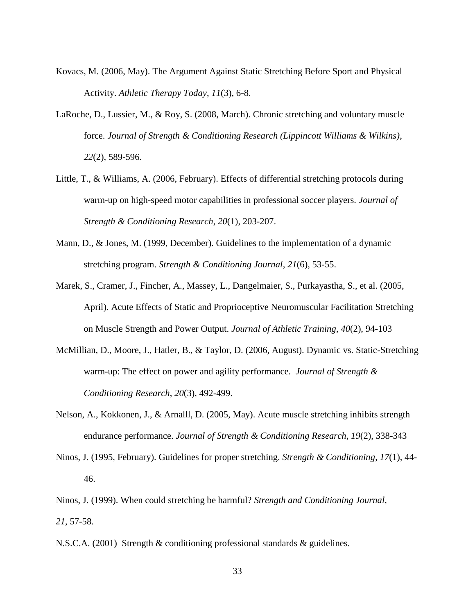- Kovacs, M. (2006, May). The Argument Against Static Stretching Before Sport and Physical Activity. *Athletic Therapy Today*, *11*(3), 6-8.
- LaRoche, D., Lussier, M., & Roy, S. (2008, March). Chronic stretching and voluntary muscle force. *Journal of Strength & Conditioning Research (Lippincott Williams & Wilkins)*, *22*(2), 589-596.
- Little, T., & Williams, A. (2006, February). Effects of differential stretching protocols during warm-up on high-speed motor capabilities in professional soccer players. *Journal of Strength & Conditioning Research*, *20*(1), 203-207.
- Mann, D., & Jones, M. (1999, December). Guidelines to the implementation of a dynamic stretching program. *Strength & Conditioning Journal*, *21*(6), 53-55.
- Marek, S., Cramer, J., Fincher, A., Massey, L., Dangelmaier, S., Purkayastha, S., et al. (2005, April). Acute Effects of Static and Proprioceptive Neuromuscular Facilitation Stretching on Muscle Strength and Power Output. *Journal of Athletic Training*, *40*(2), 94-103
- McMillian, D., Moore, J., Hatler, B., & Taylor, D. (2006, August). Dynamic vs. Static-Stretching warm-up: The effect on power and agility performance. *Journal of Strength & Conditioning Research*, *20*(3), 492-499.
- Nelson, A., Kokkonen, J., & Arnalll, D. (2005, May). Acute muscle stretching inhibits strength endurance performance. *Journal of Strength & Conditioning Research*, *19*(2), 338-343
- Ninos, J. (1995, February). Guidelines for proper stretching. *Strength & Conditioning*, *17*(1), 44- 46.
- Ninos, J. (1999). When could stretching be harmful? *Strength and Conditioning Journal, 21*, 57-58.
- N.S.C.A. (2001) Strength & conditioning professional standards & guidelines.
	- 33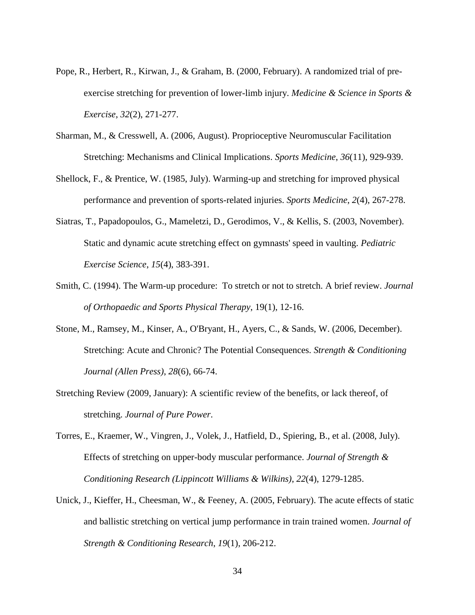- Pope, R., Herbert, R., Kirwan, J., & Graham, B. (2000, February). A randomized trial of preexercise stretching for prevention of lower-limb injury. *Medicine & Science in Sports & Exercise*, *32*(2), 271-277.
- Sharman, M., & Cresswell, A. (2006, August). Proprioceptive Neuromuscular Facilitation Stretching: Mechanisms and Clinical Implications. *Sports Medicine*, *36*(11), 929-939.
- Shellock, F., & Prentice, W. (1985, July). Warming-up and stretching for improved physical performance and prevention of sports-related injuries. *Sports Medicine*, *2*(4), 267-278.
- Siatras, T., Papadopoulos, G., Mameletzi, D., Gerodimos, V., & Kellis, S. (2003, November). Static and dynamic acute stretching effect on gymnasts' speed in vaulting. *Pediatric Exercise Science*, *15*(4), 383-391.
- Smith, C. (1994). The Warm-up procedure: To stretch or not to stretch. A brief review. *Journal of Orthopaedic and Sports Physical Therapy*, 19(1), 12-16.
- Stone, M., Ramsey, M., Kinser, A., O'Bryant, H., Ayers, C., & Sands, W. (2006, December). Stretching: Acute and Chronic? The Potential Consequences. *Strength & Conditioning Journal (Allen Press)*, *28*(6), 66-74.
- Stretching Review (2009, January): A scientific review of the benefits, or lack thereof, of stretching. *Journal of Pure Power*.
- Torres, E., Kraemer, W., Vingren, J., Volek, J., Hatfield, D., Spiering, B., et al. (2008, July). Effects of stretching on upper-body muscular performance. *Journal of Strength & Conditioning Research (Lippincott Williams & Wilkins)*, *22*(4), 1279-1285.
- Unick, J., Kieffer, H., Cheesman, W., & Feeney, A. (2005, February). The acute effects of static and ballistic stretching on vertical jump performance in train trained women. *Journal of Strength & Conditioning Research*, *19*(1), 206-212.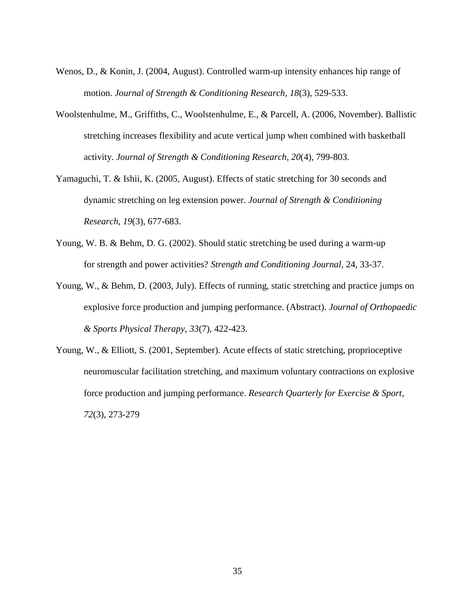- Wenos, D., & Konin, J. (2004, August). Controlled warm-up intensity enhances hip range of motion. *Journal of Strength & Conditioning Research*, *18*(3), 529-533.
- Woolstenhulme, M., Griffiths, C., Woolstenhulme, E., & Parcell, A. (2006, November). Ballistic stretching increases flexibility and acute vertical jump when combined with basketball activity. *Journal of Strength & Conditioning Research*, *20*(4), 799-803.
- Yamaguchi, T. & Ishii, K. (2005, August). Effects of static stretching for 30 seconds and dynamic stretching on leg extension power. *Journal of Strength & Conditioning Research*, *19*(3), 677-683.
- Young, W. B. & Behm, D. G. (2002). Should static stretching be used during a warm-up for strength and power activities? *Strength and Conditioning Journal*, 24, 33-37.
- Young, W., & Behm, D. (2003, July). Effects of running, static stretching and practice jumps on explosive force production and jumping performance. (Abstract). *Journal of Orthopaedic & Sports Physical Therapy*, *33*(7), 422-423.
- Young, W., & Elliott, S. (2001, September). Acute effects of static stretching, proprioceptive neuromuscular facilitation stretching, and maximum voluntary contractions on explosive force production and jumping performance. *Research Quarterly for Exercise & Sport*, *72*(3), 273-279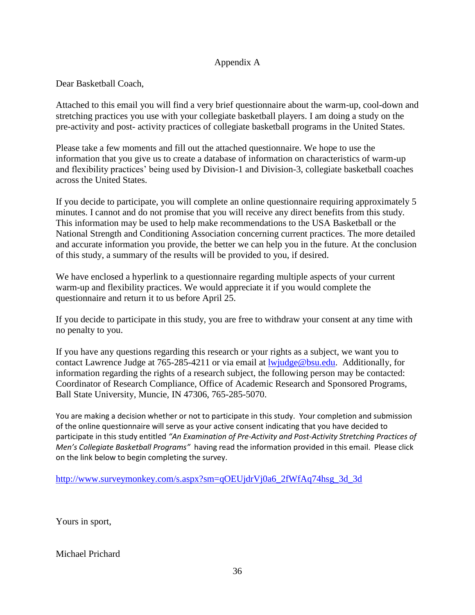## Appendix A

Dear Basketball Coach,

Attached to this email you will find a very brief questionnaire about the warm-up, cool-down and stretching practices you use with your collegiate basketball players. I am doing a study on the pre-activity and post- activity practices of collegiate basketball programs in the United States.

Please take a few moments and fill out the attached questionnaire. We hope to use the information that you give us to create a database of information on characteristics of warm-up and flexibility practices' being used by Division-1 and Division-3, collegiate basketball coaches across the United States.

If you decide to participate, you will complete an online questionnaire requiring approximately 5 minutes. I cannot and do not promise that you will receive any direct benefits from this study. This information may be used to help make recommendations to the USA Basketball or the National Strength and Conditioning Association concerning current practices. The more detailed and accurate information you provide, the better we can help you in the future. At the conclusion of this study, a summary of the results will be provided to you, if desired.

We have enclosed a hyperlink to a questionnaire regarding multiple aspects of your current warm-up and flexibility practices. We would appreciate it if you would complete the questionnaire and return it to us before April 25.

If you decide to participate in this study, you are free to withdraw your consent at any time with no penalty to you.

If you have any questions regarding this research or your rights as a subject, we want you to contact Lawrence Judge at 765-285-4211 or via email at [lwjudge@bsu.edu.](https://webmail.bsu.edu/owa/redir.aspx?C=8bdbf8113dfb48c78d138d1dda6f577a&URL=mailto%3alwjudge%40bsu.edu) Additionally, for information regarding the rights of a research subject, the following person may be contacted: Coordinator of Research Compliance, Office of Academic Research and Sponsored Programs, Ball State University, Muncie, IN 47306, 765-285-5070.

You are making a decision whether or not to participate in this study. Your completion and submission of the online questionnaire will serve as your active consent indicating that you have decided to participate in this study entitled *"An Examination of Pre-Activity and Post-Activity Stretching Practices of Men's Collegiate Basketball Programs"* having read the information provided in this email. Please click on the link below to begin completing the survey.

[http://www.surveymonkey.com/s.aspx?sm=qOEUjdrVj0a6\\_2fWfAq74hsg\\_3d\\_3d](https://webmail.bsu.edu/owa/redir.aspx?C=8bdbf8113dfb48c78d138d1dda6f577a&URL=http%3a%2f%2fwww.surveymonkey.com%2fs.aspx%3fsm%3dqOEUjdrVj0a6_2fWfAq74hsg_3d_3d)

Yours in sport,

Michael Prichard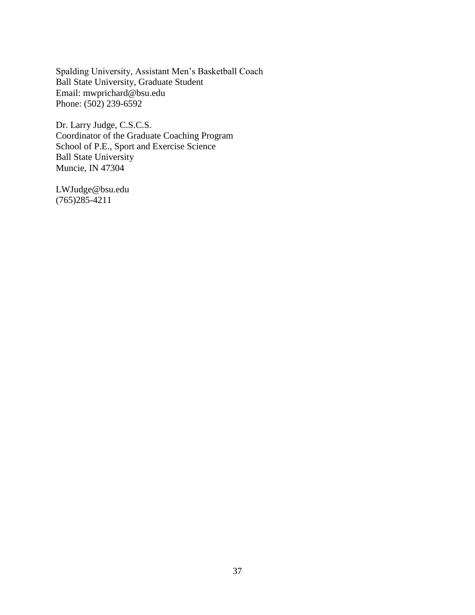Spalding University, Assistant Men"s Basketball Coach Ball State University, Graduate Student Email: mwprichard@bsu.edu Phone: (502) 239-6592

Dr. Larry Judge, C.S.C.S. Coordinator of the Graduate Coaching Program School of P.E., Sport and Exercise Science Ball State University Muncie, IN 47304

LWJudge@bsu.edu (765)285-4211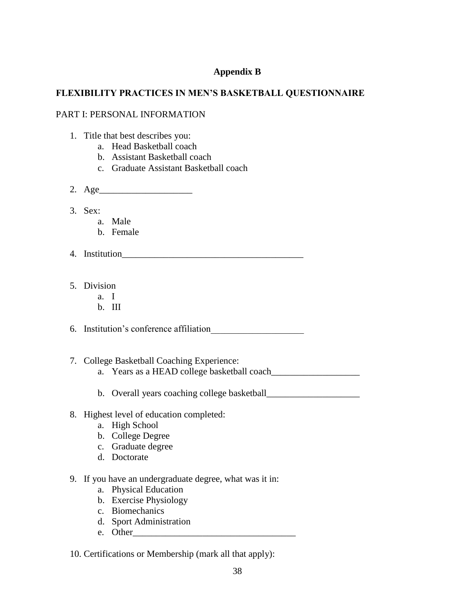## **Appendix B**

## **FLEXIBILITY PRACTICES IN MEN'S BASKETBALL QUESTIONNAIRE**

## PART I: PERSONAL INFORMATION

- 1. Title that best describes you:
	- a. Head Basketball coach
	- b. Assistant Basketball coach
	- c. Graduate Assistant Basketball coach
- 2. Age\_\_\_\_\_\_\_\_\_\_\_\_\_\_\_\_\_\_\_\_
- 3. Sex:
	- a. Male
	- b. Female
- 4. Institution\_\_\_\_\_\_\_\_\_\_\_\_\_\_\_\_\_\_\_\_\_\_\_\_\_\_\_\_\_\_\_\_\_\_\_\_\_\_\_
- 5. Division
	- a. I
	- b. III

6. Institution"s conference affiliation\_\_\_\_\_\_\_\_\_\_\_\_\_\_\_\_\_\_\_\_

- 7. College Basketball Coaching Experience:
	- a. Years as a HEAD college basketball coach
	- b. Overall years coaching college basketball\_\_\_\_\_\_\_\_\_\_\_\_\_\_\_\_\_\_\_\_
- 8. Highest level of education completed:
	- a. High School
	- b. College Degree
	- c. Graduate degree
	- d. Doctorate
- 9. If you have an undergraduate degree, what was it in:
	- a. Physical Education
	- b. Exercise Physiology
	- c. Biomechanics
	- d. Sport Administration
	- e. Other

10. Certifications or Membership (mark all that apply):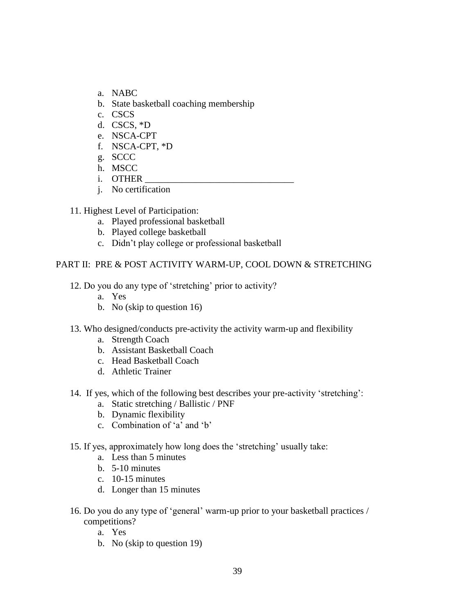- a. NABC
- b. State basketball coaching membership
- c. CSCS
- d. CSCS, \*D
- e. NSCA-CPT
- f. NSCA-CPT, \*D
- g. SCCC
- h. MSCC
- i. OTHER
- j. No certification
- 11. Highest Level of Participation:
	- a. Played professional basketball
	- b. Played college basketball
	- c. Didn"t play college or professional basketball

## PART II: PRE & POST ACTIVITY WARM-UP, COOL DOWN & STRETCHING

- 12. Do you do any type of "stretching" prior to activity?
	- a. Yes
	- b. No (skip to question 16)
- 13. Who designed/conducts pre-activity the activity warm-up and flexibility
	- a. Strength Coach
	- b. Assistant Basketball Coach
	- c. Head Basketball Coach
	- d. Athletic Trainer
- 14. If yes, which of the following best describes your pre-activity "stretching":
	- a. Static stretching / Ballistic / PNF
	- b. Dynamic flexibility
	- c. Combination of "a" and "b"
- 15. If yes, approximately how long does the "stretching" usually take:
	- a. Less than 5 minutes
	- b. 5-10 minutes
	- c. 10-15 minutes
	- d. Longer than 15 minutes
- 16. Do you do any type of "general" warm-up prior to your basketball practices / competitions?
	- a. Yes
	- b. No (skip to question 19)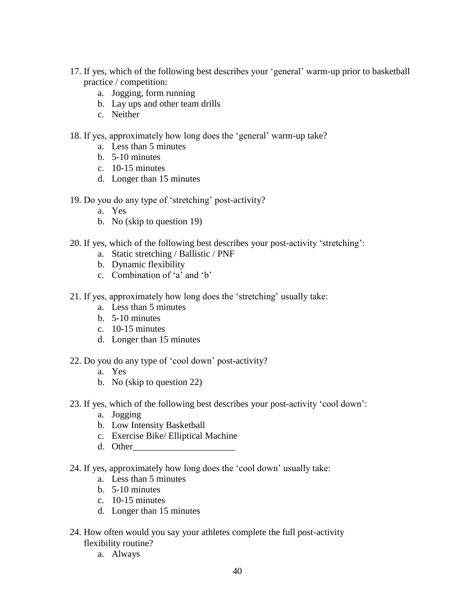- 17. If yes, which of the following best describes your "general" warm-up prior to basketball practice / competition:
	- a. Jogging, form running
	- b. Lay ups and other team drills
	- c. Neither
- 18. If yes, approximately how long does the "general" warm-up take?
	- a. Less than 5 minutes
	- b. 5-10 minutes
	- c. 10-15 minutes
	- d. Longer than 15 minutes
- 19. Do you do any type of "stretching" post-activity?
	- a. Yes
	- b. No (skip to question 19)
- 20. If yes, which of the following best describes your post-activity "stretching":
	- a. Static stretching / Ballistic / PNF
	- b. Dynamic flexibility
	- c. Combination of 'a' and 'b'
- 21. If yes, approximately how long does the "stretching" usually take:
	- a. Less than 5 minutes
	- b. 5-10 minutes
	- c. 10-15 minutes
	- d. Longer than 15 minutes
- 22. Do you do any type of "cool down" post-activity?
	- a. Yes
	- b. No (skip to question 22)
- 23. If yes, which of the following best describes your post-activity "cool down":
	- a. Jogging
	- b. Low Intensity Basketball
	- c. Exercise Bike/ Elliptical Machine
	- d. Other\_\_\_\_\_\_\_\_\_\_\_\_\_\_\_\_\_\_\_\_\_\_
- 24. If yes, approximately how long does the "cool down" usually take:
	- a. Less than 5 minutes
	- b. 5-10 minutes
	- c. 10-15 minutes
	- d. Longer than 15 minutes
- 24. How often would you say your athletes complete the full post-activity flexibility routine?
	- a. Always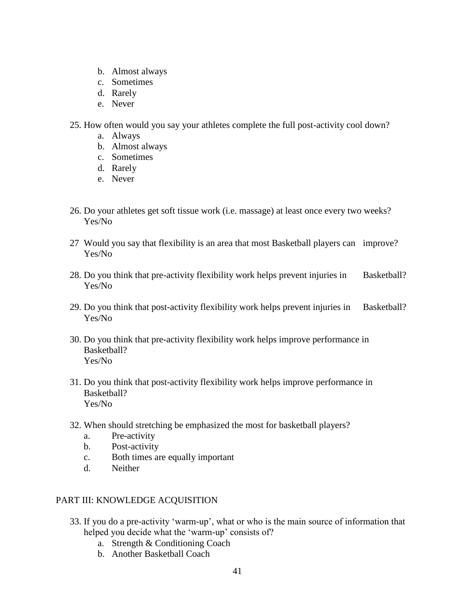- b. Almost always
- c. Sometimes
- d. Rarely
- e. Never
- 25. How often would you say your athletes complete the full post-activity cool down?
	- a. Always
	- b. Almost always
	- c. Sometimes
	- d. Rarely
	- e. Never
- 26. Do your athletes get soft tissue work (i.e. massage) at least once every two weeks? Yes/No
- 27 Would you say that flexibility is an area that most Basketball players can improve? Yes/No
- 28. Do you think that pre-activity flexibility work helps prevent injuries in Basketball? Yes/No
- 29. Do you think that post-activity flexibility work helps prevent injuries in Basketball? Yes/No
- 30. Do you think that pre-activity flexibility work helps improve performance in Basketball? Yes/No
- 31. Do you think that post-activity flexibility work helps improve performance in Basketball? Yes/No
- 32. When should stretching be emphasized the most for basketball players?
	- a. Pre-activity
	- b. Post-activity
	- c. Both times are equally important
	- d. Neither

## PART III: KNOWLEDGE ACQUISITION

- 33. If you do a pre-activity "warm-up", what or who is the main source of information that helped you decide what the 'warm-up' consists of?
	- a. Strength & Conditioning Coach
	- b. Another Basketball Coach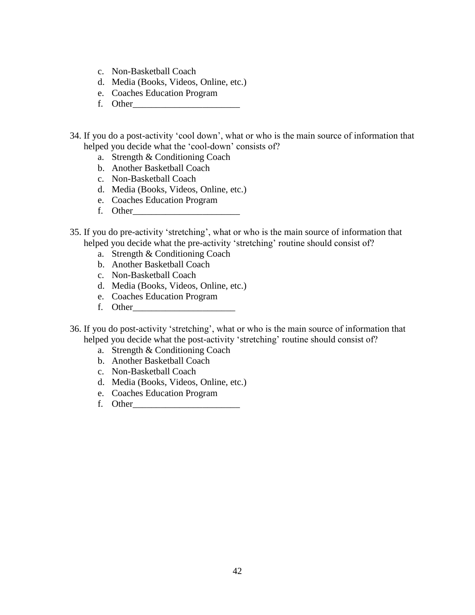- c. Non-Basketball Coach
- d. Media (Books, Videos, Online, etc.)
- e. Coaches Education Program
- f. Other\_\_\_\_\_\_\_\_\_\_\_\_\_\_\_\_\_\_\_\_\_\_\_
- 34. If you do a post-activity "cool down", what or who is the main source of information that helped you decide what the 'cool-down' consists of?
	- a. Strength & Conditioning Coach
	- b. Another Basketball Coach
	- c. Non-Basketball Coach
	- d. Media (Books, Videos, Online, etc.)
	- e. Coaches Education Program
	- f. Other\_\_\_\_\_\_\_\_\_\_\_\_\_\_\_\_\_\_\_\_\_\_\_
- 35. If you do pre-activity "stretching", what or who is the main source of information that helped you decide what the pre-activity 'stretching' routine should consist of?
	- a. Strength & Conditioning Coach
	- b. Another Basketball Coach
	- c. Non-Basketball Coach
	- d. Media (Books, Videos, Online, etc.)
	- e. Coaches Education Program
	- f. Other\_\_\_\_\_\_\_\_\_\_\_\_\_\_\_\_\_\_\_\_\_\_
- 36. If you do post-activity "stretching", what or who is the main source of information that helped you decide what the post-activity 'stretching' routine should consist of?
	- a. Strength & Conditioning Coach
	- b. Another Basketball Coach
	- c. Non-Basketball Coach
	- d. Media (Books, Videos, Online, etc.)
	- e. Coaches Education Program
	- f. Other\_\_\_\_\_\_\_\_\_\_\_\_\_\_\_\_\_\_\_\_\_\_\_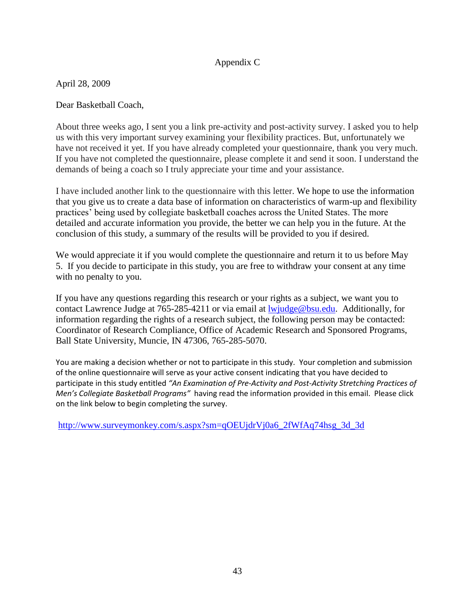# Appendix C

April 28, 2009

Dear Basketball Coach,

About three weeks ago, I sent you a link pre-activity and post-activity survey. I asked you to help us with this very important survey examining your flexibility practices. But, unfortunately we have not received it yet. If you have already completed your questionnaire, thank you very much. If you have not completed the questionnaire, please complete it and send it soon. I understand the demands of being a coach so I truly appreciate your time and your assistance.

I have included another link to the questionnaire with this letter. We hope to use the information that you give us to create a data base of information on characteristics of warm-up and flexibility practices" being used by collegiate basketball coaches across the United States. The more detailed and accurate information you provide, the better we can help you in the future. At the conclusion of this study, a summary of the results will be provided to you if desired.

We would appreciate it if you would complete the questionnaire and return it to us before May 5. If you decide to participate in this study, you are free to withdraw your consent at any time with no penalty to you.

If you have any questions regarding this research or your rights as a subject, we want you to contact Lawrence Judge at 765-285-4211 or via email at [lwjudge@bsu.edu.](https://webmail.bsu.edu/owa/redir.aspx?C=8bdbf8113dfb48c78d138d1dda6f577a&URL=mailto%3alwjudge%40bsu.edu) Additionally, for information regarding the rights of a research subject, the following person may be contacted: Coordinator of Research Compliance, Office of Academic Research and Sponsored Programs, Ball State University, Muncie, IN 47306, 765-285-5070.

You are making a decision whether or not to participate in this study. Your completion and submission of the online questionnaire will serve as your active consent indicating that you have decided to participate in this study entitled *"An Examination of Pre-Activity and Post-Activity Stretching Practices of Men's Collegiate Basketball Programs"* having read the information provided in this email. Please click on the link below to begin completing the survey.

[http://www.surveymonkey.com/s.aspx?sm=qOEUjdrVj0a6\\_2fWfAq74hsg\\_3d\\_3d](https://webmail.bsu.edu/owa/redir.aspx?C=8bdbf8113dfb48c78d138d1dda6f577a&URL=http%3a%2f%2fwww.surveymonkey.com%2fs.aspx%3fsm%3dqOEUjdrVj0a6_2fWfAq74hsg_3d_3d)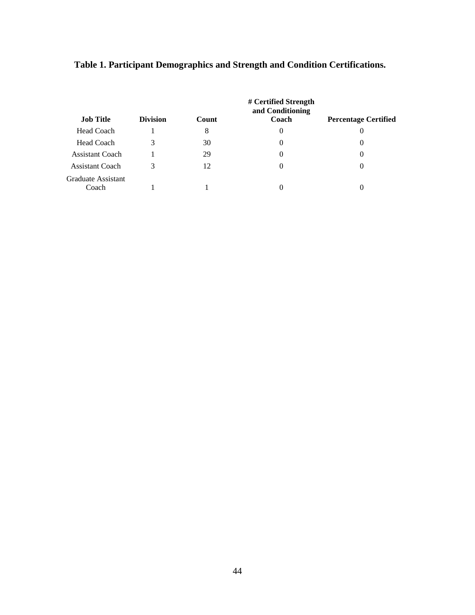|                             | # Certified Strength<br>and Conditioning |       |          |                             |  |  |
|-----------------------------|------------------------------------------|-------|----------|-----------------------------|--|--|
| <b>Job Title</b>            | <b>Division</b>                          | Count | Coach    | <b>Percentage Certified</b> |  |  |
| <b>Head Coach</b>           |                                          | 8     | 0        | 0                           |  |  |
| <b>Head Coach</b>           | 3                                        | 30    | 0        | $\theta$                    |  |  |
| Assistant Coach             |                                          | 29    | $\theta$ | $\Omega$                    |  |  |
| <b>Assistant Coach</b>      | 3                                        | 12    | $\theta$ | $\theta$                    |  |  |
| Graduate Assistant<br>Coach |                                          |       |          |                             |  |  |

# **Table 1. Participant Demographics and Strength and Condition Certifications.**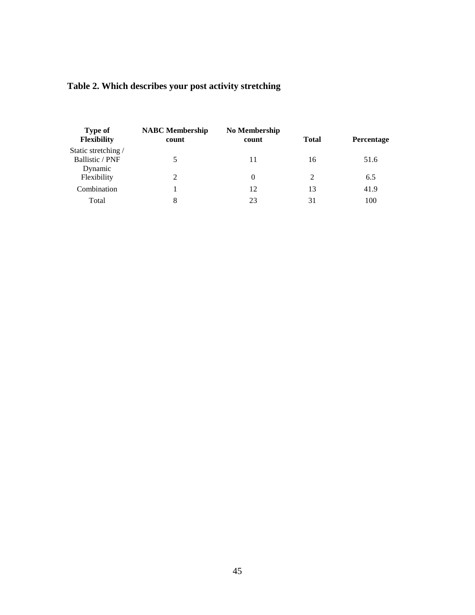|  |  | Table 2. Which describes your post activity stretching |  |
|--|--|--------------------------------------------------------|--|
|  |  |                                                        |  |

| Type of<br><b>Flexibility</b> | <b>NABC</b> Membership<br>count | No Membership<br>count | <b>Total</b> | Percentage |
|-------------------------------|---------------------------------|------------------------|--------------|------------|
| Static stretching /           |                                 |                        |              |            |
| <b>Ballistic / PNF</b>        | 5                               | 11                     | 16           | 51.6       |
| Dynamic                       |                                 |                        |              |            |
| Flexibility                   | $\overline{2}$                  | $\Omega$               | 2            | 6.5        |
| Combination                   |                                 | 12                     | 13           | 41.9       |
| Total                         | 8                               | 23                     | 31           | 100        |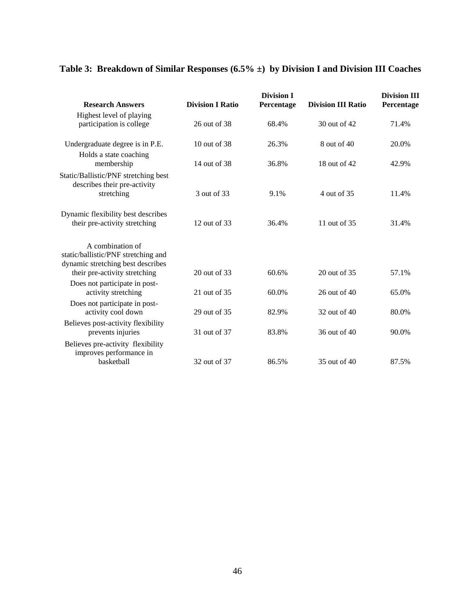# **Table 3: Breakdown of Similar Responses (6.5% ±) by Division I and Division III Coaches**

| <b>Research Answers</b>                                                                      | <b>Division I Ratio</b> | <b>Division I</b><br>Percentage | <b>Division III Ratio</b> | <b>Division III</b><br>Percentage |
|----------------------------------------------------------------------------------------------|-------------------------|---------------------------------|---------------------------|-----------------------------------|
| Highest level of playing<br>participation is college                                         | 26 out of 38            | 68.4%                           | 30 out of 42              | 71.4%                             |
|                                                                                              |                         |                                 |                           |                                   |
| Undergraduate degree is in P.E.                                                              | $10$ out of $38$        | 26.3%                           | 8 out of 40               | 20.0%                             |
| Holds a state coaching<br>membership                                                         | 14 out of 38            | 36.8%                           | 18 out of 42              | 42.9%                             |
| Static/Ballistic/PNF stretching best<br>describes their pre-activity                         |                         |                                 |                           |                                   |
| stretching                                                                                   | 3 out of 33             | 9.1%                            | 4 out of 35               | 11.4%                             |
| Dynamic flexibility best describes<br>their pre-activity stretching                          | 12 out of 33            | 36.4%                           | 11 out of 35              | 31.4%                             |
|                                                                                              |                         |                                 |                           |                                   |
| A combination of<br>static/ballistic/PNF stretching and<br>dynamic stretching best describes |                         |                                 |                           |                                   |
| their pre-activity stretching                                                                | 20 out of 33            | 60.6%                           | 20 out of 35              | 57.1%                             |
| Does not participate in post-<br>activity stretching                                         | 21 out of 35            | 60.0%                           | 26 out of 40              | 65.0%                             |
| Does not participate in post-<br>activity cool down                                          | 29 out of 35            | 82.9%                           | 32 out of 40              | 80.0%                             |
| Believes post-activity flexibility<br>prevents injuries                                      | 31 out of 37            | 83.8%                           | 36 out of 40              | 90.0%                             |
| Believes pre-activity flexibility<br>improves performance in                                 |                         |                                 |                           |                                   |
| basketball                                                                                   | 32 out of 37            | 86.5%                           | 35 out of 40              | 87.5%                             |